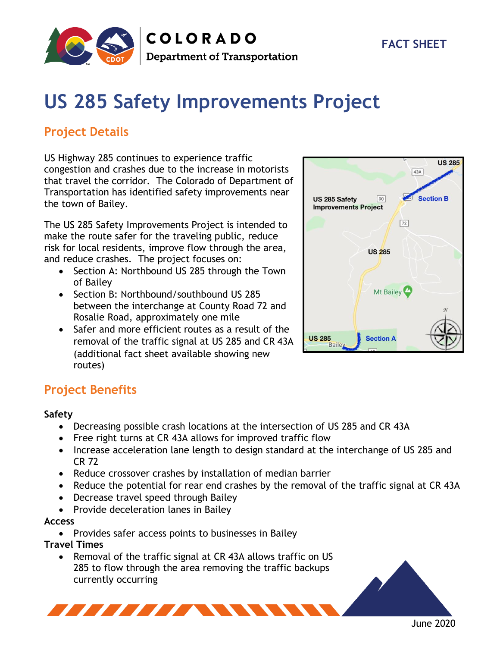

# **US 285 Safety Improvements Project**

## **Project Details**

US Highway 285 continues to experience traffic congestion and crashes due to the increase in motorists that travel the corridor. The Colorado of Department of Transportation has identified safety improvements near the town of Bailey.

The US 285 Safety Improvements Project is intended to make the route safer for the traveling public, reduce risk for local residents, improve flow through the area, and reduce crashes. The project focuses on:

- Section A: Northbound US 285 through the Town of Bailey
- Section B: Northbound/southbound US 285 between the interchange at County Road 72 and Rosalie Road, approximately one mile
- Safer and more efficient routes as a result of the removal of the traffic signal at US 285 and CR 43A (additional fact sheet available showing new routes)



## **Project Benefits**

#### **Safety**

- Decreasing possible crash locations at the intersection of US 285 and CR 43A
- Free right turns at CR 43A allows for improved traffic flow
- Increase acceleration lane length to design standard at the interchange of US 285 and CR 72
- Reduce crossover crashes by installation of median barrier
- Reduce the potential for rear end crashes by the removal of the traffic signal at CR 43A
- Decrease travel speed through Bailey

**THEFT AND STATE** 

• Provide deceleration lanes in Bailey

#### **Access**

• Provides safer access points to businesses in Bailey

**Travel Times**

• Removal of the traffic signal at CR 43A allows traffic on US 285 to flow through the area removing the traffic backups currently occurring